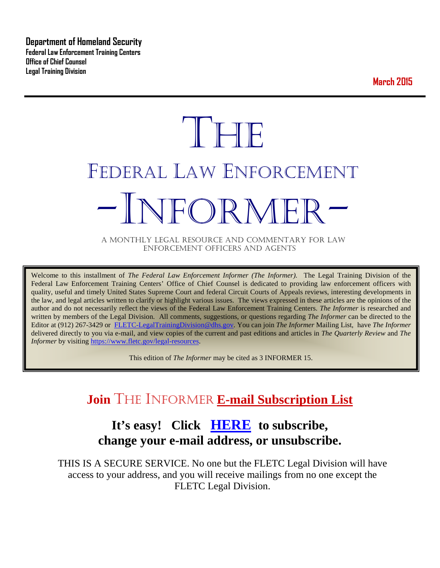**Department of Homeland Security Federal Law Enforcement Training Centers Office of Chief Counsel Legal Training Division** 

**March 2015**

# **THE** FEDERAL LAW ENFORCEMENT -INFORMER- A MONTHLY LEGAL RESOURCE AND COMMENTARY FOR LAW

ENFORCEMENT OFFICERS AND AGENTS

Welcome to this installment of *The Federal Law Enforcement Informer (The Informer).* The Legal Training Division of the Federal Law Enforcement Training Centers' Office of Chief Counsel is dedicated to providing law enforcement officers with quality, useful and timely United States Supreme Court and federal Circuit Courts of Appeals reviews, interesting developments in the law, and legal articles written to clarify or highlight various issues. The views expressed in these articles are the opinions of the author and do not necessarily reflect the views of the Federal Law Enforcement Training Centers. *The Informer* is researched and written by members of the Legal Division. All comments, suggestions, or questions regarding *The Informer* can be directed to the Editor at (912) 267-3429 or [FLETC-LegalTrainingDivision@dhs.gov.](mailto:FLETC-LegalTrainingDivision@dhs.gov) You can join *The Informer* Mailing List, have *The Informer* delivered directly to you via e-mail, and view copies of the current and past editions and articles in *The Quarterly Review* and *The Informer* by visiting [https://www.fletc.gov/legal-resources.](https://www.fletc.gov/legal-resources)

This edition of *The Informer* may be cited as 3 INFORMER 15.

## **Join** THE INFORMER **E-mail Subscription List**

## **It's easy! Click [HERE](http://peach.ease.lsoft.com/scripts/wa.exe?SUBED1=fletclgd&A=1) to subscribe, change your e-mail address, or unsubscribe.**

THIS IS A SECURE SERVICE. No one but the FLETC Legal Division will have access to your address, and you will receive mailings from no one except the FLETC Legal Division.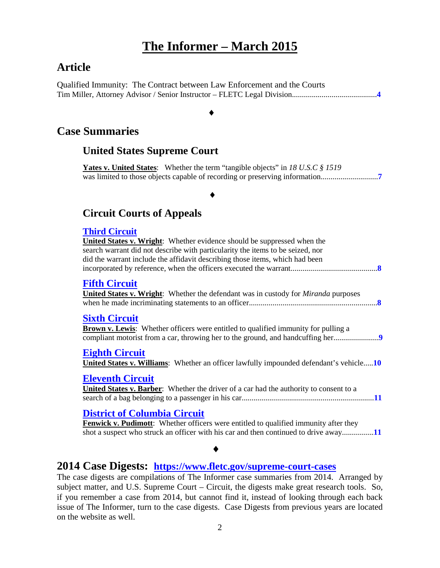## **The Informer – March 2015**

## **Article**

Qualified Immunity: The Contract between Law Enforcement and the Courts Tim Miller, Attorney Advisor / Senior Instructor – FLETC Legal Division...........................................**[4](#page-3-0)**

## ♦

## **Case Summaries**

## **United States Supreme Court**

**Yates v. United States**: Whether the term "tangible objects" in *18 U.S.C § 1519* was limited to those objects capable of recording or preserving information.............................**[7](#page-6-0)**

## ♦

## **[Circuit Courts of Appeals](#page-6-1)**

#### **[Third Circuit](#page-7-0)**

**United States v. Wright**: Whether evidence should be suppressed when the search warrant did not describe with particularity the items to be seized, nor did the warrant include the affidavit describing those items, which had been incorporated by reference, when the officers executed the warrant............................................**[8](#page-7-1) Fifth [Circuit](#page-7-2) United States v. Wright**: Whether the defendant was in custody for *Miranda* purposes when he made incriminating statements to an officer.................................................................**[8](#page-7-3) [Sixth Circuit](#page-8-0) Brown v. Lewis**: Whether officers were entitled to qualified immunity for pulling a compliant motorist from a car, throwing her to the ground, and handcuffing her.......................**[9](#page-8-1) [Eighth Circuit](#page-9-0) United States v. Williams**: Whether an officer lawfully impounded defendant's vehicle.....**[10](#page-9-1) [Eleventh Circuit](#page-10-0)**

#### **United States v. Barber**: Whether the driver of a car had the authority to consent to a search of a bag belonging to a passenger in his car...................................................................**[11](#page-10-1)**

## **[District of Columbia Circuit](#page-10-2)**

**Fenwick v. Pudimott:** Whether officers were entitled to qualified immunity after they shot a suspect who struck an officer with his car and then continued to drive away................**[11](#page-10-3)**

## ♦

## **2014 Case Digests: <https://www.fletc.gov/supreme-court-cases>**

The case digests are compilations of The Informer case summaries from 2014. Arranged by subject matter, and U.S. Supreme Court – Circuit, the digests make great research tools. So, if you remember a case from 2014, but cannot find it, instead of looking through each back issue of The Informer, turn to the case digests. Case Digests from previous years are located on the website as well.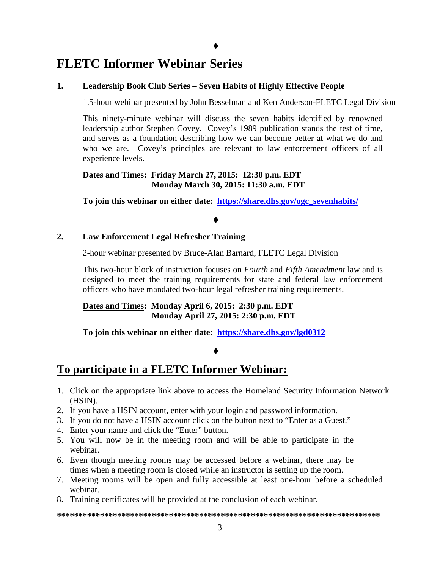## **FLETC Informer Webinar Series**

#### **1. Leadership Book Club Series – Seven Habits of Highly Effective People**

1.5-hour webinar presented by John Besselman and Ken Anderson-FLETC Legal Division

This ninety-minute webinar will discuss the seven habits identified by renowned leadership author Stephen Covey. Covey's 1989 publication stands the test of time, and serves as a foundation describing how we can become better at what we do and who we are. Covey's principles are relevant to law enforcement officers of all experience levels.

#### **Dates and Times: Friday March 27, 2015: 12:30 p.m. EDT Monday March 30, 2015: 11:30 a.m. EDT**

**To join this webinar on either date: [https://share.dhs.gov/ogc\\_sevenhabits/](https://share.dhs.gov/ogc_sevenhabits/)**

#### ♦

#### **2. Law Enforcement Legal Refresher Training**

2-hour webinar presented by Bruce-Alan Barnard, FLETC Legal Division

This two-hour block of instruction focuses on *Fourth* and *Fifth Amendment* law and is designed to meet the training requirements for state and federal law enforcement officers who have mandated two-hour legal refresher training requirements.

**Dates and Times: Monday April 6, 2015: 2:30 p.m. EDT Monday April 27, 2015: 2:30 p.m. EDT**

**To join this webinar on either date: <https://share.dhs.gov/lgd0312>**

#### ♦

## **To participate in a FLETC Informer Webinar:**

- 1. Click on the appropriate link above to access the Homeland Security Information Network (HSIN).
- 2. If you have a HSIN account, enter with your login and password information.
- 3. If you do not have a HSIN account click on the button next to "Enter as a Guest."
- 4. Enter your name and click the "Enter" button.
- 5. You will now be in the meeting room and will be able to participate in the webinar.
- 6. Even though meeting rooms may be accessed before a webinar, there may be times when a meeting room is closed while an instructor is setting up the room.
- 7. Meeting rooms will be open and fully accessible at least one-hour before a scheduled webinar.
- 8. Training certificates will be provided at the conclusion of each webinar.

**\*\*\*\*\*\*\*\*\*\*\*\*\*\*\*\*\*\*\*\*\*\*\*\*\*\*\*\*\*\*\*\*\*\*\*\*\*\*\*\*\*\*\*\*\*\*\*\*\*\*\*\*\*\*\*\*\*\*\*\*\*\*\*\*\*\*\*\*\*\*\*\*\*\*\***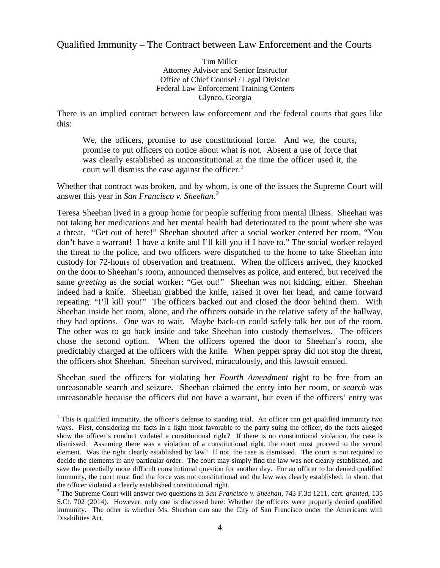## <span id="page-3-0"></span>Qualified Immunity – The Contract between Law Enforcement and the Courts

Tim Miller Attorney Advisor and Senior Instructor Office of Chief Counsel / Legal Division Federal Law Enforcement Training Centers Glynco, Georgia

There is an implied contract between law enforcement and the federal courts that goes like this:

We, the officers, promise to use constitutional force. And we, the courts, promise to put officers on notice about what is not. Absent a use of force that was clearly established as unconstitutional at the time the officer used it, the court will dismiss the case against the officer. $<sup>1</sup>$  $<sup>1</sup>$  $<sup>1</sup>$ </sup>

Whether that contract was broken, and by whom, is one of the issues the Supreme Court will answer this year in *San Francisco v. Sheehan*. [2](#page-3-2)

Teresa Sheehan lived in a group home for people suffering from mental illness. Sheehan was not taking her medications and her mental health had deteriorated to the point where she was a threat. "Get out of here!" Sheehan shouted after a social worker entered her room, "You don't have a warrant! I have a knife and I'll kill you if I have to." The social worker relayed the threat to the police, and two officers were dispatched to the home to take Sheehan into custody for 72-hours of observation and treatment. When the officers arrived, they knocked on the door to Sheehan's room, announced themselves as police, and entered, but received the same *greeting* as the social worker: "Get out!" Sheehan was not kidding, either. Sheehan indeed had a knife. Sheehan grabbed the knife, raised it over her head, and came forward repeating: "I'll kill you!" The officers backed out and closed the door behind them. With Sheehan inside her room, alone, and the officers outside in the relative safety of the hallway, they had options. One was to wait. Maybe back-up could safely talk her out of the room. The other was to go back inside and take Sheehan into custody themselves. The officers chose the second option. When the officers opened the door to Sheehan's room, she predictably charged at the officers with the knife. When pepper spray did not stop the threat, the officers shot Sheehan. Sheehan survived, miraculously, and this lawsuit ensued.

Sheehan sued the officers for violating her *Fourth Amendment* right to be free from an unreasonable search and seizure. Sheehan claimed the entry into her room, or *search* was unreasonable because the officers did not have a warrant, but even if the officers' entry was

<span id="page-3-1"></span><sup>&</sup>lt;sup>1</sup> This is qualified immunity, the officer's defense to standing trial. An officer can get qualified immunity two ways. First, considering the facts in a light most favorable to the party suing the officer, do the facts alleged show the officer's conduct violated a constitutional right? If there is no constitutional violation, the case is dismissed. Assuming there was a violation of a constitutional right, the court must proceed to the second element. Was the right clearly established by law? If not, the case is dismissed. The court is not required to decide the elements in any particular order. The court may simply find the law was not clearly established, and save the potentially more difficult constitutional question for another day. For an officer to be denied qualified immunity, the court must find the force was not constitutional and the law was clearly established; in short, that the officer violated a clearly established constitutional right.  $\overline{a}$ 

<span id="page-3-2"></span><sup>2</sup> The Supreme Court will answer two questions in *San Francisco v. Sheehan*, 743 F.3d 1211, cert. *granted*, 135 S.Ct. 702 (2014). However, only one is discussed here: Whether the officers were properly denied qualified immunity. The other is whether Ms. Sheehan can sue the City of San Francisco under the Americans with Disabilities Act.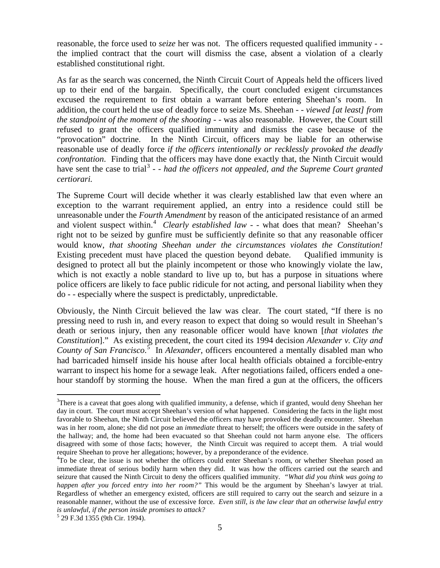reasonable, the force used to *seize* her was not. The officers requested qualified immunity - the implied contract that the court will dismiss the case, absent a violation of a clearly established constitutional right.

As far as the search was concerned, the Ninth Circuit Court of Appeals held the officers lived up to their end of the bargain. Specifically, the court concluded exigent circumstances excused the requirement to first obtain a warrant before entering Sheehan's room. In addition, the court held the use of deadly force to seize Ms. Sheehan - - *viewed [at least] from the standpoint of the moment of the shooting* - - was also reasonable. However, the Court still refused to grant the officers qualified immunity and dismiss the case because of the "provocation" doctrine. In the Ninth Circuit, officers may be liable for an otherwise reasonable use of deadly force *if the officers intentionally or recklessly provoked the deadly confrontation*. Finding that the officers may have done exactly that, the Ninth Circuit would have sent the case to trial<sup>[3](#page-4-0)</sup> - - *had the officers not appealed, and the Supreme Court granted certiorari.*

The Supreme Court will decide whether it was clearly established law that even where an exception to the warrant requirement applied, an entry into a residence could still be unreasonable under the *Fourth Amendment* by reason of the anticipated resistance of an armed and violent suspect within.<sup>[4](#page-4-1)</sup> Clearly established law - - what does that mean? Sheehan's right not to be seized by gunfire must be sufficiently definite so that any reasonable officer would know, *that shooting Sheehan under the circumstances violates the Constitution!* Existing precedent must have placed the question beyond debate. Qualified immunity is designed to protect all but the plainly incompetent or those who knowingly violate the law, which is not exactly a noble standard to live up to, but has a purpose in situations where police officers are likely to face public ridicule for not acting, and personal liability when they do - - especially where the suspect is predictably, unpredictable.

Obviously, the Ninth Circuit believed the law was clear. The court stated, "If there is no pressing need to rush in, and every reason to expect that doing so would result in Sheehan's death or serious injury, then any reasonable officer would have known [*that violates the Constitution*]." As existing precedent, the court cited its 1994 decision *Alexander v. City and County of San Francisco*. [5](#page-4-2) In *Alexander*, officers encountered a mentally disabled man who had barricaded himself inside his house after local health officials obtained a forcible-entry warrant to inspect his home for a sewage leak. After negotiations failed, officers ended a onehour standoff by storming the house. When the man fired a gun at the officers, the officers

 $\overline{a}$ 

<span id="page-4-0"></span><sup>&</sup>lt;sup>3</sup>There is a caveat that goes along with qualified immunity, a defense, which if granted, would deny Sheehan her day in court. The court must accept Sheehan's version of what happened. Considering the facts in the light most favorable to Sheehan, the Ninth Circuit believed the officers may have provoked the deadly encounter. Sheehan was in her room, alone; she did not pose an *immediate* threat to herself; the officers were outside in the safety of the hallway; and, the home had been evacuated so that Sheehan could not harm anyone else. The officers disagreed with some of those facts; however, the Ninth Circuit was required to accept them. A trial would require Sheehan to prove her allegations; however, by a preponderance of the evidence. 4

<span id="page-4-1"></span><sup>&</sup>lt;sup>4</sup>To be clear, the issue is not whether the officers could enter Sheehan's room, or whether Sheehan posed an immediate threat of serious bodily harm when they did. It was how the officers carried out the search and seizure that caused the Ninth Circuit to deny the officers qualified immunity. *"What did you think was going to happen after you forced entry into her room?"* This would be the argument by Sheehan's lawyer at trial. Regardless of whether an emergency existed, officers are still required to carry out the search and seizure in a reasonable manner, without the use of excessive force. *Even still*, *is the law clear that an otherwise lawful entry is unlawful, if the person inside promises to attack?* <sup>5</sup> 29 F.3d 1355 (9th Cir. 1994).

<span id="page-4-2"></span>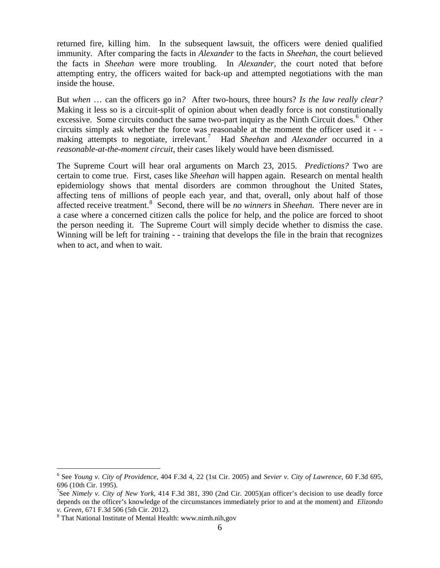returned fire, killing him. In the subsequent lawsuit, the officers were denied qualified immunity. After comparing the facts in *Alexander* to the facts in *Sheehan*, the court believed the facts in *Sheehan* were more troubling. In *Alexander*, the court noted that before attempting entry, the officers waited for back-up and attempted negotiations with the man inside the house.

But *when* … can the officers go in*?* After two-hours, three hours? *Is the law really clear?* Making it less so is a circuit-split of opinion about when deadly force is not constitutionally excessive. Some circuits conduct the same two-part inquiry as the Ninth Circuit does.<sup>[6](#page-5-0)</sup> Other circuits simply ask whether the force was reasonable at the moment the officer used it - - making attempts to negotiate, irrelevant.<sup>[7](#page-5-1)</sup> Had *Sheehan* and *Alexander* occurred in a *reasonable-at-the-moment circuit*, their cases likely would have been dismissed.

The Supreme Court will hear oral arguments on March 23, 2015. *Predictions?* Two are certain to come true. First, cases like *Sheehan* will happen again. Research on mental health epidemiology shows that mental disorders are common throughout the United States, affecting tens of millions of people each year, and that, overall, only about half of those affected receive treatment.<sup>[8](#page-5-2)</sup> Second, there will be *no winners* in *Sheehan*. There never are in a case where a concerned citizen calls the police for help, and the police are forced to shoot the person needing it. The Supreme Court will simply decide whether to dismiss the case. Winning will be left for training - - training that develops the file in the brain that recognizes when to act, and when to wait.

 $\overline{a}$ 

<span id="page-5-0"></span><sup>6</sup> See *Young v. City of Providence*, 404 F.3d 4, 22 (1st Cir. 2005) and *Sevier v. City of Lawrence*, 60 F.3d 695, 696 (10th Cir. 1995).

<span id="page-5-1"></span><sup>7</sup> See *Nimely v. City of New York*, 414 F.3d 381, 390 (2nd Cir. 2005)(an officer's decision to use deadly force depends on the officer's knowledge of the circumstances immediately prior to and at the moment) and *Elizondo* 

<span id="page-5-2"></span><sup>&</sup>lt;sup>8</sup> That National Institute of Mental Health: www.nimh.nih,gov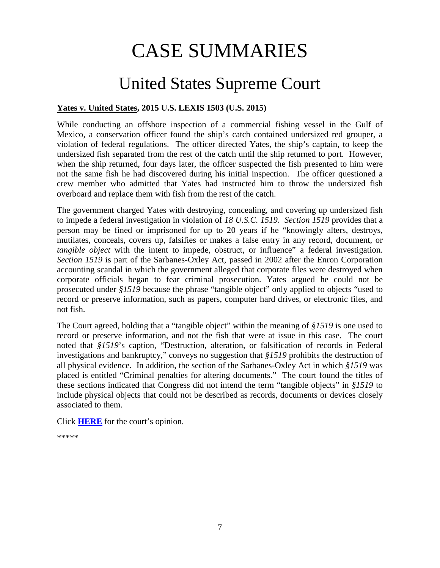# CASE SUMMARIES

## United States Supreme Court

#### <span id="page-6-1"></span><span id="page-6-0"></span>**Yates v. United States, 2015 U.S. LEXIS 1503 (U.S. 2015)**

While conducting an offshore inspection of a commercial fishing vessel in the Gulf of Mexico, a conservation officer found the ship's catch contained undersized red grouper, a violation of federal regulations. The officer directed Yates, the ship's captain, to keep the undersized fish separated from the rest of the catch until the ship returned to port. However, when the ship returned, four days later, the officer suspected the fish presented to him were not the same fish he had discovered during his initial inspection. The officer questioned a crew member who admitted that Yates had instructed him to throw the undersized fish overboard and replace them with fish from the rest of the catch.

The government charged Yates with destroying, concealing, and covering up undersized fish to impede a federal investigation in violation of *18 U.S.C. 1519*. *Section 1519* provides that a person may be fined or imprisoned for up to 20 years if he "knowingly alters, destroys, mutilates, conceals, covers up, falsifies or makes a false entry in any record, document, or *tangible object* with the intent to impede, obstruct, or influence" a federal investigation. *Section 1519* is part of the Sarbanes-Oxley Act, passed in 2002 after the Enron Corporation accounting scandal in which the government alleged that corporate files were destroyed when corporate officials began to fear criminal prosecution. Yates argued he could not be prosecuted under *§1519* because the phrase "tangible object" only applied to objects "used to record or preserve information, such as papers, computer hard drives, or electronic files, and not fish.

The Court agreed, holding that a "tangible object" within the meaning of *§1519* is one used to record or preserve information, and not the fish that were at issue in this case. The court noted that *§1519*'s caption, "Destruction, alteration, or falsification of records in Federal investigations and bankruptcy," conveys no suggestion that *§1519* prohibits the destruction of all physical evidence. In addition, the section of the Sarbanes-Oxley Act in which *§1519* was placed is entitled "Criminal penalties for altering documents." The court found the titles of these sections indicated that Congress did not intend the term "tangible objects" in *§1519* to include physical objects that could not be described as records, documents or devices closely associated to them.

Click **[HERE](https://supreme.justia.com/cases/federal/us/574/13-7451/case.pdf)** for the court's opinion.

\*\*\*\*\*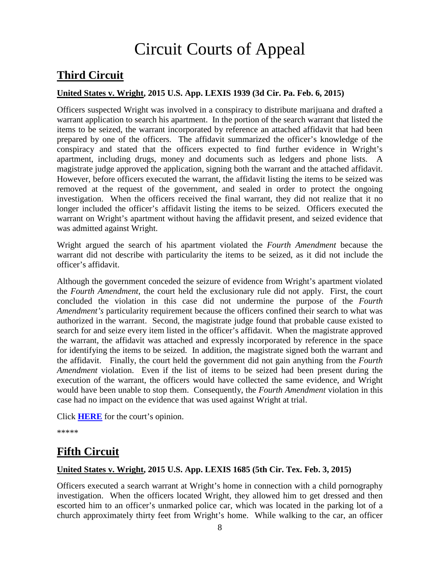# Circuit Courts of Appeal

## <span id="page-7-0"></span>**Third Circuit**

#### <span id="page-7-1"></span>**United States v. Wright, 2015 U.S. App. LEXIS 1939 (3d Cir. Pa. Feb. 6, 2015)**

Officers suspected Wright was involved in a conspiracy to distribute marijuana and drafted a warrant application to search his apartment. In the portion of the search warrant that listed the items to be seized, the warrant incorporated by reference an attached affidavit that had been prepared by one of the officers. The affidavit summarized the officer's knowledge of the conspiracy and stated that the officers expected to find further evidence in Wright's apartment, including drugs, money and documents such as ledgers and phone lists. A magistrate judge approved the application, signing both the warrant and the attached affidavit. However, before officers executed the warrant, the affidavit listing the items to be seized was removed at the request of the government, and sealed in order to protect the ongoing investigation. When the officers received the final warrant, they did not realize that it no longer included the officer's affidavit listing the items to be seized. Officers executed the warrant on Wright's apartment without having the affidavit present, and seized evidence that was admitted against Wright.

Wright argued the search of his apartment violated the *Fourth Amendment* because the warrant did not describe with particularity the items to be seized, as it did not include the officer's affidavit.

Although the government conceded the seizure of evidence from Wright's apartment violated the *Fourth Amendment*, the court held the exclusionary rule did not apply. First, the court concluded the violation in this case did not undermine the purpose of the *Fourth Amendment's* particularity requirement because the officers confined their search to what was authorized in the warrant. Second, the magistrate judge found that probable cause existed to search for and seize every item listed in the officer's affidavit. When the magistrate approved the warrant, the affidavit was attached and expressly incorporated by reference in the space for identifying the items to be seized. In addition, the magistrate signed both the warrant and the affidavit. Finally, the court held the government did not gain anything from the *Fourth Amendment* violation. Even if the list of items to be seized had been present during the execution of the warrant, the officers would have collected the same evidence, and Wright would have been unable to stop them. Consequently, the *Fourth Amendment* violation in this case had no impact on the evidence that was used against Wright at trial.

Click **[HERE](http://cases.justia.com/federal/appellate-courts/ca3/14-1558/14-1558-2015-02-06.pdf?ts=1423243805)** for the court's opinion.

\*\*\*\*\*

## <span id="page-7-2"></span>**Fifth Circuit**

#### <span id="page-7-3"></span>**United States v. Wright, 2015 U.S. App. LEXIS 1685 (5th Cir. Tex. Feb. 3, 2015)**

Officers executed a search warrant at Wright's home in connection with a child pornography investigation. When the officers located Wright, they allowed him to get dressed and then escorted him to an officer's unmarked police car, which was located in the parking lot of a church approximately thirty feet from Wright's home. While walking to the car, an officer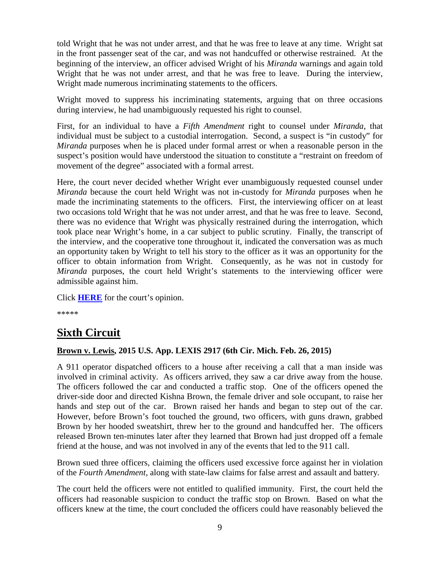told Wright that he was not under arrest, and that he was free to leave at any time. Wright sat in the front passenger seat of the car, and was not handcuffed or otherwise restrained. At the beginning of the interview, an officer advised Wright of his *Miranda* warnings and again told Wright that he was not under arrest, and that he was free to leave. During the interview, Wright made numerous incriminating statements to the officers.

Wright moved to suppress his incriminating statements, arguing that on three occasions during interview, he had unambiguously requested his right to counsel.

First, for an individual to have a *Fifth Amendment* right to counsel under *Miranda*, that individual must be subject to a custodial interrogation. Second, a suspect is "in custody" for *Miranda* purposes when he is placed under formal arrest or when a reasonable person in the suspect's position would have understood the situation to constitute a "restraint on freedom of movement of the degree" associated with a formal arrest.

Here, the court never decided whether Wright ever unambiguously requested counsel under *Miranda* because the court held Wright was not in-custody for *Miranda* purposes when he made the incriminating statements to the officers. First, the interviewing officer on at least two occasions told Wright that he was not under arrest, and that he was free to leave. Second, there was no evidence that Wright was physically restrained during the interrogation, which took place near Wright's home, in a car subject to public scrutiny. Finally, the transcript of the interview, and the cooperative tone throughout it, indicated the conversation was as much an opportunity taken by Wright to tell his story to the officer as it was an opportunity for the officer to obtain information from Wright. Consequently, as he was not in custody for *Miranda* purposes, the court held Wright's statements to the interviewing officer were admissible against him.

Click **[HERE](http://cases.justia.com/federal/appellate-courts/ca5/13-20533/13-20533-2015-02-03.pdf?ts=1423054866)** for the court's opinion.

\*\*\*\*\*

## <span id="page-8-0"></span>**Sixth Circuit**

#### <span id="page-8-1"></span>**Brown v. Lewis, 2015 U.S. App. LEXIS 2917 (6th Cir. Mich. Feb. 26, 2015)**

A 911 operator dispatched officers to a house after receiving a call that a man inside was involved in criminal activity. As officers arrived, they saw a car drive away from the house. The officers followed the car and conducted a traffic stop. One of the officers opened the driver-side door and directed Kishna Brown, the female driver and sole occupant, to raise her hands and step out of the car. Brown raised her hands and began to step out of the car. However, before Brown's foot touched the ground, two officers, with guns drawn, grabbed Brown by her hooded sweatshirt, threw her to the ground and handcuffed her. The officers released Brown ten-minutes later after they learned that Brown had just dropped off a female friend at the house, and was not involved in any of the events that led to the 911 call.

Brown sued three officers, claiming the officers used excessive force against her in violation of the *Fourth Amendment*, along with state-law claims for false arrest and assault and battery.

The court held the officers were not entitled to qualified immunity. First, the court held the officers had reasonable suspicion to conduct the traffic stop on Brown. Based on what the officers knew at the time, the court concluded the officers could have reasonably believed the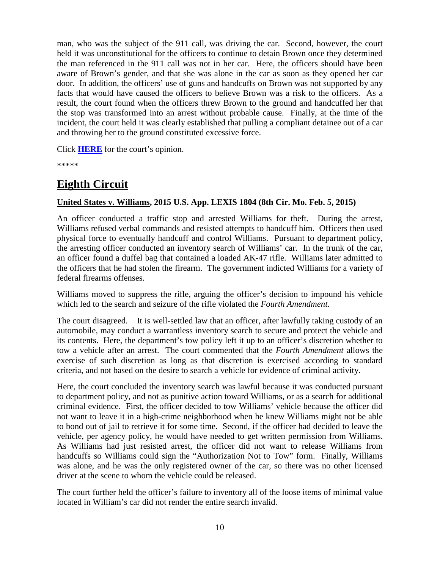man, who was the subject of the 911 call, was driving the car. Second, however, the court held it was unconstitutional for the officers to continue to detain Brown once they determined the man referenced in the 911 call was not in her car. Here, the officers should have been aware of Brown's gender, and that she was alone in the car as soon as they opened her car door. In addition, the officers' use of guns and handcuffs on Brown was not supported by any facts that would have caused the officers to believe Brown was a risk to the officers. As a result, the court found when the officers threw Brown to the ground and handcuffed her that the stop was transformed into an arrest without probable cause. Finally, at the time of the incident, the court held it was clearly established that pulling a compliant detainee out of a car and throwing her to the ground constituted excessive force.

Click **[HERE](http://cases.justia.com/federal/appellate-courts/ca6/14-1392/14-1392-2015-02-26.pdf?ts=1424968248)** for the court's opinion.

\*\*\*\*\*

## <span id="page-9-0"></span>**Eighth Circuit**

#### <span id="page-9-1"></span>**United States v. Williams, 2015 U.S. App. LEXIS 1804 (8th Cir. Mo. Feb. 5, 2015)**

An officer conducted a traffic stop and arrested Williams for theft. During the arrest, Williams refused verbal commands and resisted attempts to handcuff him. Officers then used physical force to eventually handcuff and control Williams. Pursuant to department policy, the arresting officer conducted an inventory search of Williams' car. In the trunk of the car, an officer found a duffel bag that contained a loaded AK-47 rifle. Williams later admitted to the officers that he had stolen the firearm. The government indicted Williams for a variety of federal firearms offenses.

Williams moved to suppress the rifle, arguing the officer's decision to impound his vehicle which led to the search and seizure of the rifle violated the *Fourth Amendment*.

The court disagreed. It is well-settled law that an officer, after lawfully taking custody of an automobile, may conduct a warrantless inventory search to secure and protect the vehicle and its contents. Here, the department's tow policy left it up to an officer's discretion whether to tow a vehicle after an arrest. The court commented that the *Fourth Amendment* allows the exercise of such discretion as long as that discretion is exercised according to standard criteria, and not based on the desire to search a vehicle for evidence of criminal activity.

Here, the court concluded the inventory search was lawful because it was conducted pursuant to department policy, and not as punitive action toward Williams, or as a search for additional criminal evidence. First, the officer decided to tow Williams' vehicle because the officer did not want to leave it in a high-crime neighborhood when he knew Williams might not be able to bond out of jail to retrieve it for some time. Second, if the officer had decided to leave the vehicle, per agency policy, he would have needed to get written permission from Williams. As Williams had just resisted arrest, the officer did not want to release Williams from handcuffs so Williams could sign the "Authorization Not to Tow" form. Finally, Williams was alone, and he was the only registered owner of the car, so there was no other licensed driver at the scene to whom the vehicle could be released.

The court further held the officer's failure to inventory all of the loose items of minimal value located in William's car did not render the entire search invalid.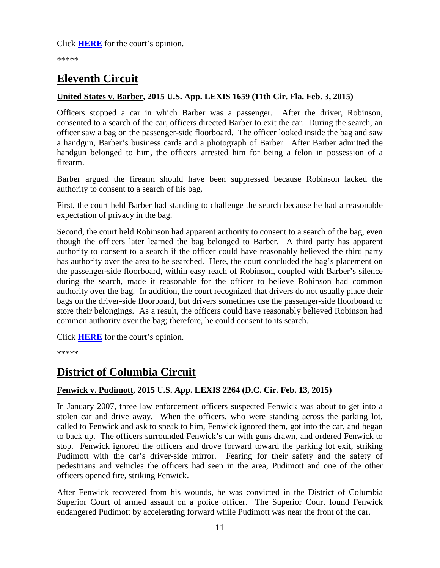\*\*\*\*\*

## <span id="page-10-0"></span>**Eleventh Circuit**

#### <span id="page-10-1"></span>**United States v. Barber, 2015 U.S. App. LEXIS 1659 (11th Cir. Fla. Feb. 3, 2015)**

Officers stopped a car in which Barber was a passenger. After the driver, Robinson, consented to a search of the car, officers directed Barber to exit the car. During the search, an officer saw a bag on the passenger-side floorboard. The officer looked inside the bag and saw a handgun, Barber's business cards and a photograph of Barber. After Barber admitted the handgun belonged to him, the officers arrested him for being a felon in possession of a firearm.

Barber argued the firearm should have been suppressed because Robinson lacked the authority to consent to a search of his bag.

First, the court held Barber had standing to challenge the search because he had a reasonable expectation of privacy in the bag.

Second, the court held Robinson had apparent authority to consent to a search of the bag, even though the officers later learned the bag belonged to Barber. A third party has apparent authority to consent to a search if the officer could have reasonably believed the third party has authority over the area to be searched. Here, the court concluded the bag's placement on the passenger-side floorboard, within easy reach of Robinson, coupled with Barber's silence during the search, made it reasonable for the officer to believe Robinson had common authority over the bag. In addition, the court recognized that drivers do not usually place their bags on the driver-side floorboard, but drivers sometimes use the passenger-side floorboard to store their belongings. As a result, the officers could have reasonably believed Robinson had common authority over the bag; therefore, he could consent to its search.

Click **[HERE](http://cases.justia.com/federal/appellate-courts/ca11/13-14935/13-14935-2015-02-03.pdf?ts=1422990062)** for the court's opinion.

\*\*\*\*\*

## <span id="page-10-2"></span>**District of Columbia Circuit**

## <span id="page-10-3"></span>**Fenwick v. Pudimott, 2015 U.S. App. LEXIS 2264 (D.C. Cir. Feb. 13, 2015)**

In January 2007, three law enforcement officers suspected Fenwick was about to get into a stolen car and drive away. When the officers, who were standing across the parking lot, called to Fenwick and ask to speak to him, Fenwick ignored them, got into the car, and began to back up. The officers surrounded Fenwick's car with guns drawn, and ordered Fenwick to stop. Fenwick ignored the officers and drove forward toward the parking lot exit, striking Pudimott with the car's driver-side mirror. Fearing for their safety and the safety of pedestrians and vehicles the officers had seen in the area, Pudimott and one of the other officers opened fire, striking Fenwick.

After Fenwick recovered from his wounds, he was convicted in the District of Columbia Superior Court of armed assault on a police officer. The Superior Court found Fenwick endangered Pudimott by accelerating forward while Pudimott was near the front of the car.